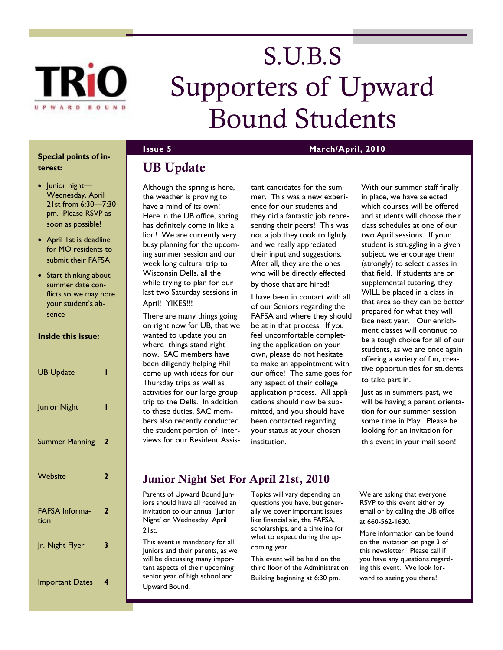

# S.U.B.S Supporters of Upward Bound Students

### **Special points of interest:**

- Junior night-Wednesday, April 21st from 6:30—7:30 pm. Please RSVP as soon as possible!
- April 1st is deadline for MO residents to submit their FAFSA
- Start thinking about summer date conflicts so we may note your student's absence

### **Inside this issue:**

| <b>UB Update</b>              | I |
|-------------------------------|---|
| Junior Night                  | ı |
| <b>Summer Planning</b>        | 2 |
| Website                       | 2 |
| <b>FAFSA Informa-</b><br>tion | 2 |
| Jr. Night Flyer               | 3 |
| <b>Important Dates</b>        | 4 |

## **UB Update**

Although the spring is here, the weather is proving to have a mind of its own! Here in the UB office, spring has definitely come in like a lion! We are currently very busy planning for the upcoming summer session and our week long cultural trip to Wisconsin Dells, all the while trying to plan for our last two Saturday sessions in April! YIKES!!!

There are many things going on right now for UB, that we wanted to update you on where things stand right now. SAC members have been diligently helping Phil come up with ideas for our Thursday trips as well as activities for our large group trip to the Dells. In addition to these duties, SAC members also recently conducted the student portion of interviews for our Resident Assistant candidates for the summer. This was a new experience for our students and they did a fantastic job representing their peers! This was not a job they took to lightly and we really appreciated their input and suggestions. After all, they are the ones who will be directly effected by those that are hired!

I have been in contact with all of our Seniors regarding the FAFSA and where they should be at in that process. If you feel uncomfortable completing the application on your own, please do not hesitate to make an appointment with our office! The same goes for any aspect of their college application process. All applications should now be submitted, and you should have been contacted regarding your status at your chosen institution.

With our summer staff finally in place, we have selected which courses will be offered and students will choose their class schedules at one of our two April sessions. If your student is struggling in a given subject, we encourage them (strongly) to select classes in that field. If students are on supplemental tutoring, they WILL be placed in a class in that area so they can be better prepared for what they will face next year. Our enrichment classes will continue to be a tough choice for all of our students, as we are once again offering a variety of fun, creative opportunities for students to take part in.

Just as in summers past, we will be having a parent orientation for our summer session some time in May. Please be looking for an invitation for this event in your mail soon!

### **Junior Night Set For April 21st, 2010**

Parents of Upward Bound Juniors should have all received an invitation to our annual 'Junior Night' on Wednesday, April  $21st$ 

This event is mandatory for all Juniors and their parents, as we will be discussing many important aspects of their upcoming senior year of high school and Upward Bound.

Topics will vary depending on questions you have, but generally we cover important issues like financial aid, the FAFSA, scholarships, and a timeline for what to expect during the upcoming year.

This event will be held on the third floor of the Administration Building beginning at 6:30 pm.

We are asking that everyone RSVP to this event either by email or by calling the UB office at 660-562-1630.

More information can be found on the invitation on page 3 of this newsletter. Please call if you have any questions regarding this event. We look forward to seeing you there!

### **Issue 5 March/April, 2010**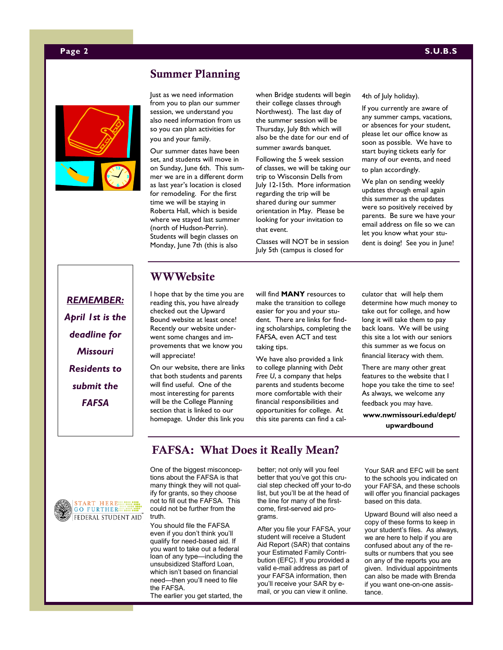### **Page 2 S.U.B.S**



### **Summer Planning**

Just as we need information from you to plan our summer session, we understand you also need information from us so you can plan activities for you and your family.

Our summer dates have been set, and students will move in on Sunday, June 6th. This summer we are in a different dorm as last year's location is closed for remodeling. For the first time we will be staying in Roberta Hall, which is beside where we stayed last summer (north of Hudson-Perrin). Students will begin classes on Monday, June 7th (this is also

when Bridge students will begin their college classes through Northwest). The last day of the summer session will be Thursday, July 8th which will also be the date for our end of summer awards banquet.

Following the 5 week session of classes, we will be taking our trip to Wisconsin Dells from July 12-15th. More information regarding the trip will be shared during our summer orientation in May. Please be looking for your invitation to that event.

Classes will NOT be in session July 5th (campus is closed for

### 4th of July holiday).

If you currently are aware of any summer camps, vacations, or absences for your student, please let our office know as soon as possible. We have to start buying tickets early for many of our events, and need

to plan accordingly.

We plan on sending weekly updates through email again this summer as the updates were so positively received by parents. Be sure we have your email address on file so we can let you know what your stu-

dent is doing! See you in June!

*REMEMBER: April 1st is the deadline for Missouri Residents to submit the FAFSA*

### **WWWebsite**

I hope that by the time you are reading this, you have already checked out the Upward Bound website at least once! Recently our website underwent some changes and improvements that we know you will appreciate!

On our website, there are links that both students and parents will find useful. One of the most interesting for parents will be the College Planning section that is linked to our homepage. Under this link you

will find **MANY** resources to make the transition to college easier for you and your student. There are links for finding scholarships, completing the FAFSA, even ACT and test taking tips.

We have also provided a link to college planning with *Debt Free U*, a company that helps parents and students become more comfortable with their financial responsibilities and opportunities for college. At this site parents can find a calculator that will help them determine how much money to take out for college, and how long it will take them to pay back loans. We will be using this site a lot with our seniors this summer as we focus on financial literacy with them.

There are many other great features to the website that I hope you take the time to see! As always, we welcome any

feedback you may have.

**www.nwmissouri.edu/dept/ upwardbound**

### **FAFSA: What Does it Really Mean?**



One of the biggest misconceptions about the FAFSA is that many thingk they will not qualify for grants, so they choose not to fill out the FAFSA. This could not be further from the truth.

You should file the FAFSA even if you don't think you'll qualify for need-based aid. If you want to take out a federal loan of any type—including the unsubsidized Stafford Loan, which isn't based on financial need—then you'll need to file the FAFSA. The earlier you get started, the

better; not only will you feel better that you've got this crucial step checked off your to-do list, but you'll be at the head of the line for many of the firstcome, first-served aid programs.

After you file your FAFSA, your student will receive a Student Aid Report (SAR) that contains your Estimated Family Contribution (EFC). If you provided a valid e-mail address as part of your FAFSA information, then you'll receive your SAR by email, or you can view it online.

Your SAR and EFC will be sent to the schools you indicated on your FAFSA, and these schools will offer you financial packages based on this data.

Upward Bound will also need a copy of these forms to keep in your student's files. As always, we are here to help if you are confused about any of the results or numbers that you see on any of the reports you are given. Individual appointments can also be made with Brenda if you want one-on-one assistance.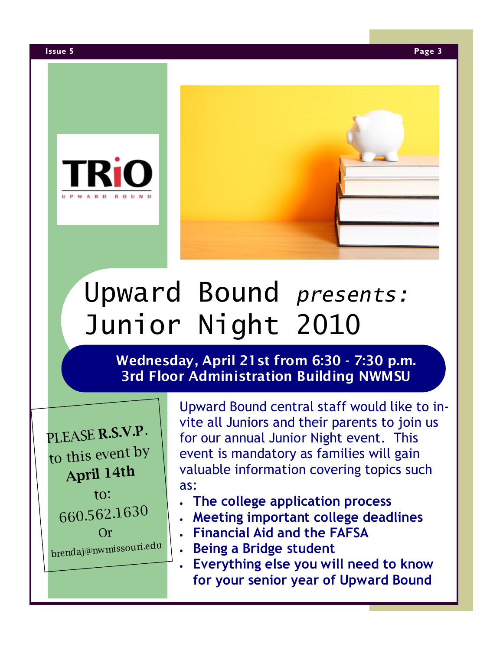

# Upward Bound *presents:* Junior Night 2010

## **Wednesday, April 21st from 6:30 - 7:30 p.m. 3rd Floor Administration Building NWMSU**

PLEASE **R.S.V.P**. to this event by **April 14t<sup>h</sup>** to: 660.562.1630 Or brendaj@nwmissouri.edu Upward Bound central staff would like to invite all Juniors and their parents to join us for our annual Junior Night event. This event is mandatory as families will gain valuable information covering topics such as:

- **The college application process**
- **Meeting important college deadlines**
- **Financial Aid and the FAFSA**
- **Being a Bridge student**
- **Everything else you will need to know for your senior year of Upward Bound**